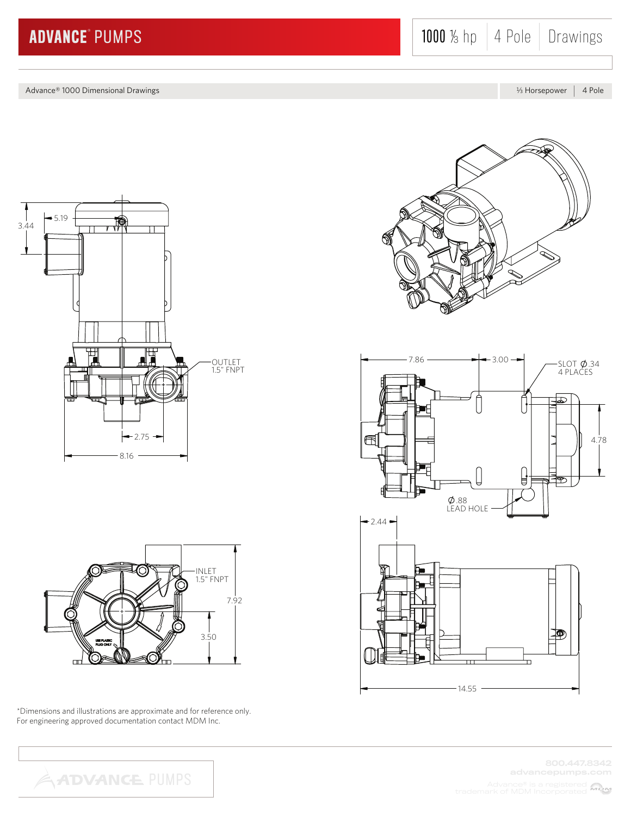Advance® 1000 Dimensional Drawings Later Communication and the Communication of the Communication and the Communication and the Communication and the Communication and the Communication and the Communication and the Commun





\*Dimensions and illustrations are approximate and for reference only. For engineering approved documentation contact MDM Inc.





800.447.8342

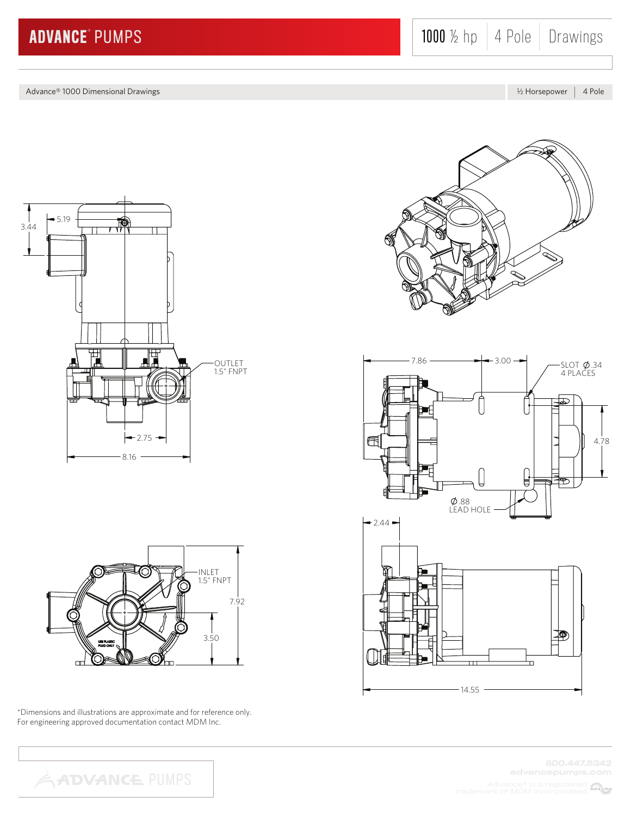Advance® 1000 Dimensional Drawings **K Horsepower 4 Pole** Advance B Horsepower 4 Pole Advance® K Horsepower 4 Pole





\*Dimensions and illustrations are approximate and for reference only. For engineering approved documentation contact MDM Inc.

**ADVANCE PUMPS** 





800.447.8342